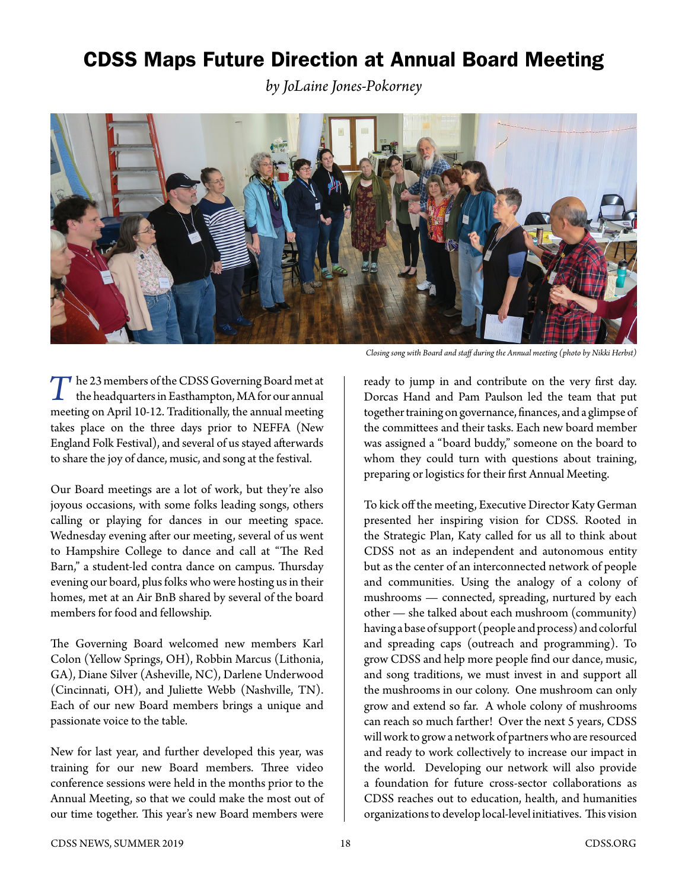## CDSS Maps Future Direction at Annual Board Meeting

*by JoLaine Jones-Pokorney*



*T*he 23 members of the CDSS Governing Board met at the headquarters in Easthampton, MA for our annual meeting on April 10-12. Traditionally, the annual meeting takes place on the three days prior to NEFFA (New England Folk Festival), and several of us stayed afterwards to share the joy of dance, music, and song at the festival.

Our Board meetings are a lot of work, but they're also joyous occasions, with some folks leading songs, others calling or playing for dances in our meeting space. Wednesday evening after our meeting, several of us went to Hampshire College to dance and call at "The Red Barn," a student-led contra dance on campus. Thursday evening our board, plus folks who were hosting us in their homes, met at an Air BnB shared by several of the board members for food and fellowship.

The Governing Board welcomed new members Karl Colon (Yellow Springs, OH), Robbin Marcus (Lithonia, GA), Diane Silver (Asheville, NC), Darlene Underwood (Cincinnati, OH), and Juliette Webb (Nashville, TN). Each of our new Board members brings a unique and passionate voice to the table.

New for last year, and further developed this year, was training for our new Board members. Three video conference sessions were held in the months prior to the Annual Meeting, so that we could make the most out of our time together. This year's new Board members were

*Closing song with Board and staff during the Annual meeting (photo by Nikki Herbst)*

ready to jump in and contribute on the very first day. Dorcas Hand and Pam Paulson led the team that put together training on governance, finances, and a glimpse of the committees and their tasks. Each new board member was assigned a "board buddy," someone on the board to whom they could turn with questions about training, preparing or logistics for their first Annual Meeting.

To kick off the meeting, Executive Director Katy German presented her inspiring vision for CDSS. Rooted in the Strategic Plan, Katy called for us all to think about CDSS not as an independent and autonomous entity but as the center of an interconnected network of people and communities. Using the analogy of a colony of mushrooms — connected, spreading, nurtured by each other — she talked about each mushroom (community) having a base of support (people and process) and colorful and spreading caps (outreach and programming). To grow CDSS and help more people find our dance, music, and song traditions, we must invest in and support all the mushrooms in our colony. One mushroom can only grow and extend so far. A whole colony of mushrooms can reach so much farther! Over the next 5 years, CDSS will work to grow a network of partners who are resourced and ready to work collectively to increase our impact in the world. Developing our network will also provide a foundation for future cross-sector collaborations as CDSS reaches out to education, health, and humanities organizations to develop local-level initiatives. This vision